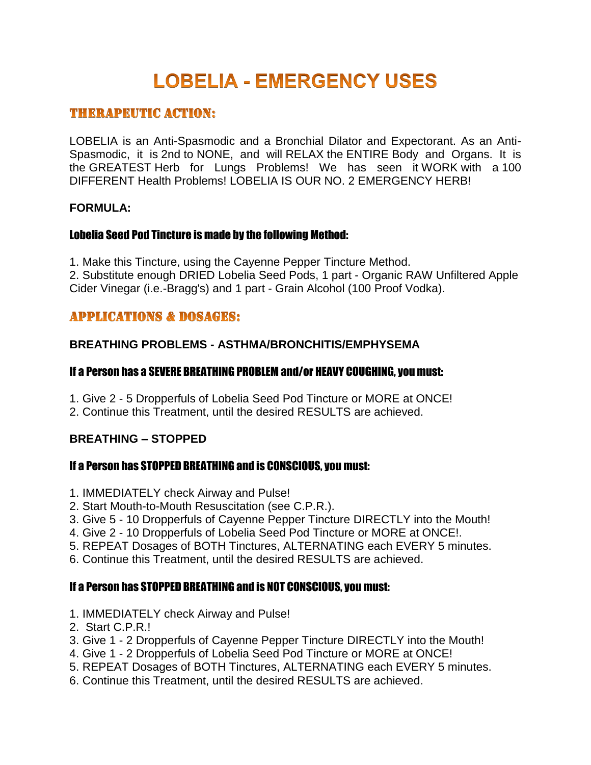# **LOBELIA - EMERGENCY USES**

# **THERAPEUTIC ACTION:**

LOBELIA is an Anti-Spasmodic and a Bronchial Dilator and Expectorant. As an Anti-Spasmodic, it is 2nd to NONE, and will RELAX the ENTIRE Body and Organs. It is the GREATEST Herb for Lungs Problems! We has seen it WORK with a 100 DIFFERENT Health Problems! LOBELIA IS OUR NO. 2 EMERGENCY HERB!

#### **FORMULA:**

#### Lobelia Seed Pod Tincture is made by the following Method:

1. Make this Tincture, using the Cayenne Pepper Tincture Method.

2. Substitute enough DRIED Lobelia Seed Pods, 1 part - Organic RAW Unfiltered Apple Cider Vinegar (i.e.-Bragg's) and 1 part - Grain Alcohol (100 Proof Vodka).

# **APPLICATIONS & DOSAGES:**

# **BREATHING PROBLEMS - ASTHMA/BRONCHITIS/EMPHYSEMA**

#### If a Person has a SEVERE BREATHING PROBLEM and/or HEAVY COUGHING, you must:

- 1. Give 2 5 Dropperfuls of Lobelia Seed Pod Tincture or MORE at ONCE!
- 2. Continue this Treatment, until the desired RESULTS are achieved.

# **BREATHING – STOPPED**

# If a Person has STOPPED BREATHING and is CONSCIOUS, you must:

- 1. IMMEDIATELY check Airway and Pulse!
- 2. Start Mouth-to-Mouth Resuscitation (see C.P.R.).
- 3. Give 5 10 Dropperfuls of Cayenne Pepper Tincture DIRECTLY into the Mouth!
- 4. Give 2 10 Dropperfuls of Lobelia Seed Pod Tincture or MORE at ONCE!.
- 5. REPEAT Dosages of BOTH Tinctures, ALTERNATING each EVERY 5 minutes.
- 6. Continue this Treatment, until the desired RESULTS are achieved.

# If a Person has STOPPED BREATHING and is NOT CONSCIOUS, you must:

- 1. IMMEDIATELY check Airway and Pulse!
- 2. Start C.P.R.!
- 3. Give 1 2 Dropperfuls of Cayenne Pepper Tincture DIRECTLY into the Mouth!
- 4. Give 1 2 Dropperfuls of Lobelia Seed Pod Tincture or MORE at ONCE!
- 5. REPEAT Dosages of BOTH Tinctures, ALTERNATING each EVERY 5 minutes.
- 6. Continue this Treatment, until the desired RESULTS are achieved.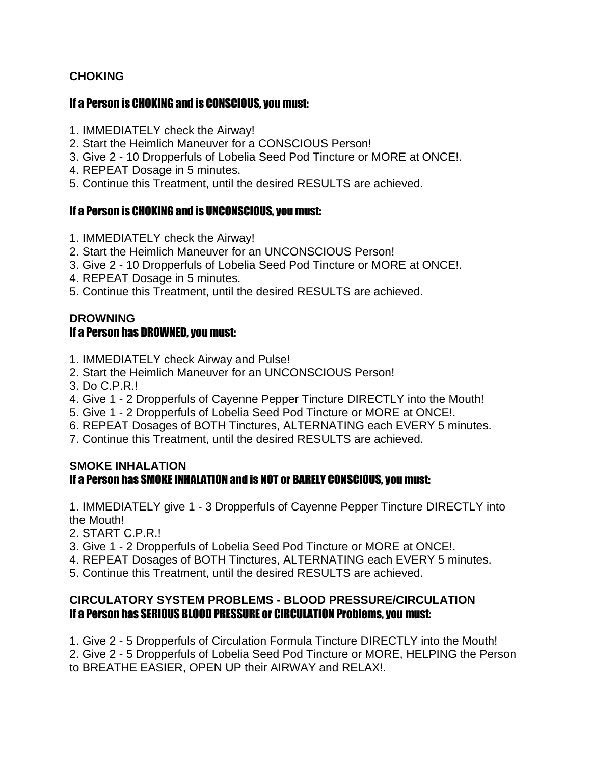# **CHOKING**

#### If a Person is CHOKING and is CONSCIOUS, you must:

- 1. IMMEDIATELY check the Airway!
- 2. Start the Heimlich Maneuver for a CONSCIOUS Person!
- 3. Give 2 10 Dropperfuls of Lobelia Seed Pod Tincture or MORE at ONCE!.
- 4. REPEAT Dosage in 5 minutes.
- 5. Continue this Treatment, until the desired RESULTS are achieved.

# If a Person is CHOKING and is UNCONSCIOUS, you must:

- 1. IMMEDIATELY check the Airway!
- 2. Start the Heimlich Maneuver for an UNCONSCIOUS Person!
- 3. Give 2 10 Dropperfuls of Lobelia Seed Pod Tincture or MORE at ONCE!.
- 4. REPEAT Dosage in 5 minutes.
- 5. Continue this Treatment, until the desired RESULTS are achieved.

#### **DROWNING** If a Person has DROWNED, you must:

- 1. IMMEDIATELY check Airway and Pulse!
- 2. Start the Heimlich Maneuver for an UNCONSCIOUS Person!
- 3. Do C.P.R.!
- 4. Give 1 2 Dropperfuls of Cayenne Pepper Tincture DIRECTLY into the Mouth!
- 5. Give 1 2 Dropperfuls of Lobelia Seed Pod Tincture or MORE at ONCE!.
- 6. REPEAT Dosages of BOTH Tinctures, ALTERNATING each EVERY 5 minutes.
- 7. Continue this Treatment, until the desired RESULTS are achieved.

#### **SMOKE INHALATION** If a Person has SMOKE INHALATION and is NOT or BARELY CONSCIOUS, you must:

1. IMMEDIATELY give 1 - 3 Dropperfuls of Cayenne Pepper Tincture DIRECTLY into the Mouth!

- 2. START C.P.R.!
- 3. Give 1 2 Dropperfuls of Lobelia Seed Pod Tincture or MORE at ONCE!.
- 4. REPEAT Dosages of BOTH Tinctures, ALTERNATING each EVERY 5 minutes.
- 5. Continue this Treatment, until the desired RESULTS are achieved.

#### **CIRCULATORY SYSTEM PROBLEMS - BLOOD PRESSURE/CIRCULATION** If a Person has SERIOUS BLOOD PRESSURE or CIRCULATION Problems, you must:

1. Give 2 - 5 Dropperfuls of Circulation Formula Tincture DIRECTLY into the Mouth! 2. Give 2 - 5 Dropperfuls of Lobelia Seed Pod Tincture or MORE, HELPING the Person to BREATHE EASIER, OPEN UP their AIRWAY and RELAX!.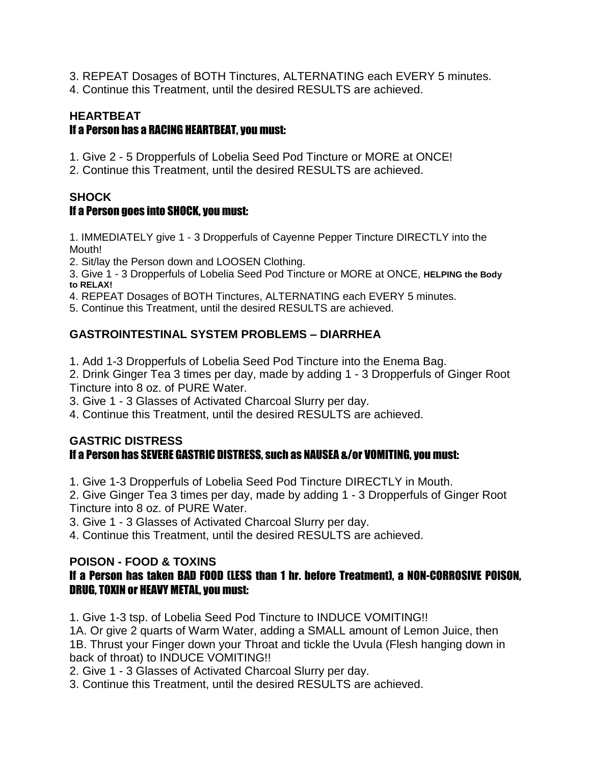- 3. REPEAT Dosages of BOTH Tinctures, ALTERNATING each EVERY 5 minutes.
- 4. Continue this Treatment, until the desired RESULTS are achieved.

# **HEARTBEAT** If a Person has a RACING HEARTBEAT, you must:

- 1. Give 2 5 Dropperfuls of Lobelia Seed Pod Tincture or MORE at ONCE!
- 2. Continue this Treatment, until the desired RESULTS are achieved.

# **SHOCK**

# If a Person goes into SHOCK, you must:

1. IMMEDIATELY give 1 - 3 Dropperfuls of Cayenne Pepper Tincture DIRECTLY into the Mouth!

- 2. Sit/lay the Person down and LOOSEN Clothing.
- 3. Give 1 3 Dropperfuls of Lobelia Seed Pod Tincture or MORE at ONCE, **HELPING the Body to RELAX!**
- 4. REPEAT Dosages of BOTH Tinctures, ALTERNATING each EVERY 5 minutes.
- 5. Continue this Treatment, until the desired RESULTS are achieved.

# **GASTROINTESTINAL SYSTEM PROBLEMS – DIARRHEA**

- 1. Add 1-3 Dropperfuls of Lobelia Seed Pod Tincture into the [Enema](http://healingtools.tripod.com/enema.html) Bag.
- 2. Drink Ginger Tea 3 times per day, made by adding 1 3 Dropperfuls of Ginger Root Tincture into 8 oz. of PURE Water.
- 3. Give 1 3 Glasses of Activated Charcoal Slurry per day.
- 4. Continue this Treatment, until the desired RESULTS are achieved.

#### **GASTRIC DISTRESS** If a Person has SEVERE GASTRIC DISTRESS, such as NAUSEA &/or VOMITING, you must:

- 1. Give 1-3 Dropperfuls of Lobelia Seed Pod Tincture DIRECTLY in Mouth.
- 2. Give Ginger Tea 3 times per day, made by adding 1 3 Dropperfuls of Ginger Root Tincture into 8 oz. of PURE Water.
- 3. Give 1 3 Glasses of Activated Charcoal Slurry per day.
- 4. Continue this Treatment, until the desired RESULTS are achieved.

# **[POISON](http://healingtools.tripod.com/thn2_4.html) - FOOD & TOXINS**

# If a Person has taken BAD FOOD (LESS than 1 hr. before Treatment), a NON-CORROSIVE POISON, DRUG, TOXIN or HEAVY METAL, you must:

1. Give 1-3 tsp. of Lobelia Seed Pod Tincture to INDUCE VOMITING!!

1A. Or give 2 quarts of Warm Water, adding a SMALL amount of Lemon Juice, then 1B. Thrust your Finger down your Throat and tickle the Uvula (Flesh hanging down in back of throat) to INDUCE VOMITING!!

2. Give 1 - 3 Glasses of Activated Charcoal Slurry per day.

3. Continue this Treatment, until the desired RESULTS are achieved.